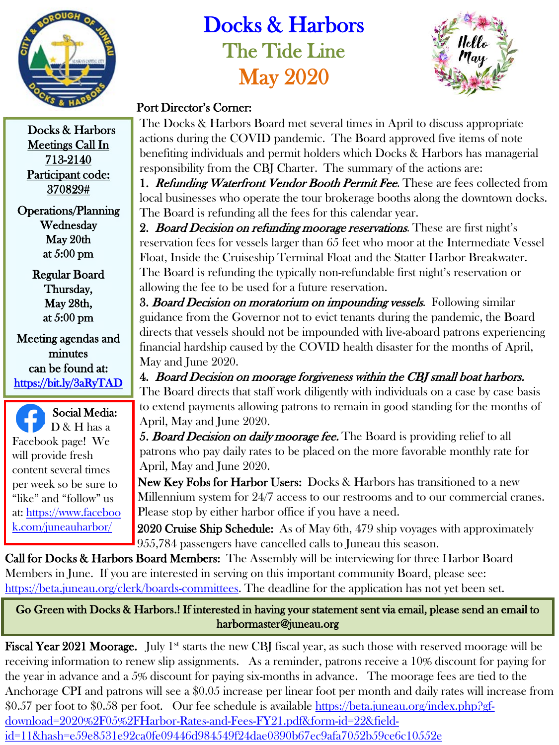

## Docks & Harbors The Tide Line May 2020



## Port Director's Corner:

The Docks & Harbors Board met several times in April to discuss appropriate actions during the COVID pandemic. The Board approved five items of note benefiting individuals and permit holders which Docks & Harbors has managerial responsibility from the CBJ Charter. The summary of the actions are:

1. Refunding Waterfront Vendor Booth Permit Fee. These are fees collected from local businesses who operate the tour brokerage booths along the downtown docks. The Board is refunding all the fees for this calendar year.

2. Board Decision on refunding moorage reservations. These are first night's reservation fees for vessels larger than 65 feet who moor at the Intermediate Vessel Float, Inside the Cruiseship Terminal Float and the Statter Harbor Breakwater. The Board is refunding the typically non-refundable first night's reservation or allowing the fee to be used for a future reservation.

3. Board Decision on moratorium on impounding vessels. Following similar guidance from the Governor not to evict tenants during the pandemic, the Board directs that vessels should not be impounded with live-aboard patrons experiencing financial hardship caused by the COVID health disaster for the months of April, May and June 2020.

4. Board Decision on moorage forgiveness within the CBJ small boat harbors. The Board directs that staff work diligently with individuals on a case by case basis to extend payments allowing patrons to remain in good standing for the months of April, May and June 2020.

5. Board Decision on daily moorage fee. The Board is providing relief to all patrons who pay daily rates to be placed on the more favorable monthly rate for April, May and June 2020.

New Key Fobs for Harbor Users: Docks & Harbors has transitioned to a new Millennium system for 24/7 access to our restrooms and to our commercial cranes. Please stop by either harbor office if you have a need.

2020 Cruise Ship Schedule: As of May 6th, 479 ship voyages with approximately 955,784 passengers have cancelled calls to Juneau this season.

Call for Docks & Harbors Board Members: The Assembly will be interviewing for three Harbor Board Members in June. If you are interested in serving on this important community Board, please see: <https://beta.juneau.org/clerk/boards-committees>. The deadline for the application has not yet been set.

Go Green with Docks & Harbors.! If interested in having your statement sent via email, please send an email to harbormaster@juneau.org

Fiscal Year 2021 Moorage. July 1<sup>st</sup> starts the new CBJ fiscal year, as such those with reserved moorage will be receiving information to renew slip assignments. As a reminder, patrons receive a 10% discount for paying for the year in advance and a 5% discount for paying six-months in advance. The moorage fees are tied to the Anchorage CPI and patrons will see a \$0.05 increase per linear foot per month and daily rates will increase from \$0.57 per foot to \$0.58 per foot. Our fee schedule is available https://beta.juneau.org/index.php?gfdownload=2020%2F05%2FHarbor-Rates-and-Fees-FY21.pdf&form-id=22&fieldid=11&hash=e59e8531e92ca0fe09446d984549f24dae0390b67ec9afa7052b59ce6c10552e

Docks & Harbors Meetings Call In 713-2140 Participant code: 370829#

Operations/Planning Wednesday May 20th at 5:00 pm

> Regular Board Thursday, May 28th, at 5:00 pm

Meeting agendas and minutes can be found at: <https://bit.ly/3aRyTAD>